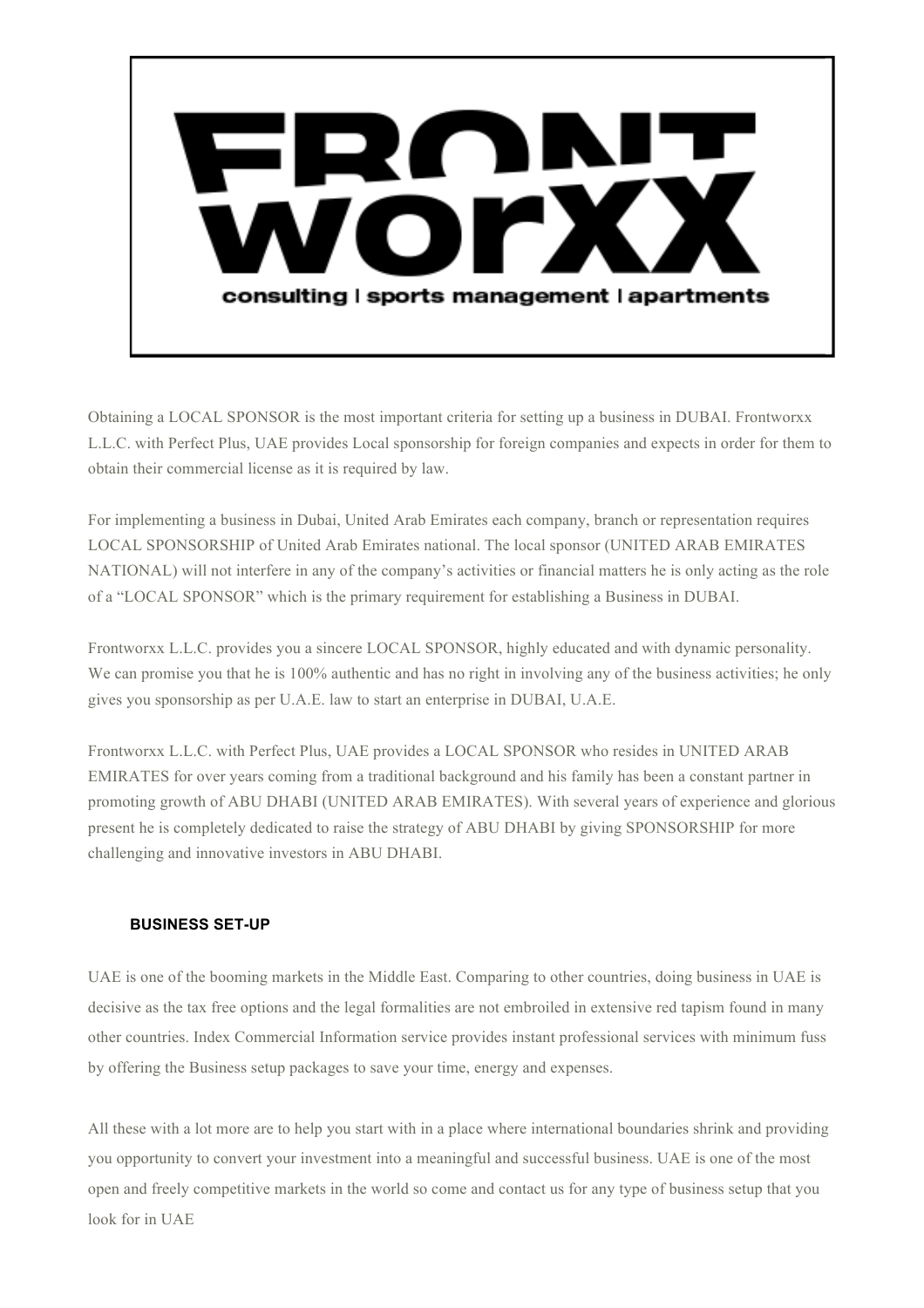

Obtaining a LOCAL SPONSOR is the most important criteria for setting up a business in DUBAI. Frontworxx L.L.C. with Perfect Plus, UAE provides Local sponsorship for foreign companies and expects in order for them to obtain their commercial license as it is required by law.

For implementing a business in Dubai, United Arab Emirates each company, branch or representation requires LOCAL SPONSORSHIP of United Arab Emirates national. The local sponsor (UNITED ARAB EMIRATES NATIONAL) will not interfere in any of the company's activities or financial matters he is only acting as the role of a "LOCAL SPONSOR" which is the primary requirement for establishing a Business in DUBAI.

Frontworxx L.L.C. provides you a sincere LOCAL SPONSOR, highly educated and with dynamic personality. We can promise you that he is 100% authentic and has no right in involving any of the business activities; he only gives you sponsorship as per U.A.E. law to start an enterprise in DUBAI, U.A.E.

Frontworxx L.L.C. with Perfect Plus, UAE provides a LOCAL SPONSOR who resides in UNITED ARAB EMIRATES for over years coming from a traditional background and his family has been a constant partner in promoting growth of ABU DHABI (UNITED ARAB EMIRATES). With several years of experience and glorious present he is completely dedicated to raise the strategy of ABU DHABI by giving SPONSORSHIP for more challenging and innovative investors in ABU DHABI.

## **BUSINESS SET-UP**

UAE is one of the booming markets in the Middle East. Comparing to other countries, doing business in UAE is decisive as the tax free options and the legal formalities are not embroiled in extensive red tapism found in many other countries. Index Commercial Information service provides instant professional services with minimum fuss by offering the Business setup packages to save your time, energy and expenses.

All these with a lot more are to help you start with in a place where international boundaries shrink and providing you opportunity to convert your investment into a meaningful and successful business. UAE is one of the most open and freely competitive markets in the world so come and contact us for any type of business setup that you look for in UAE